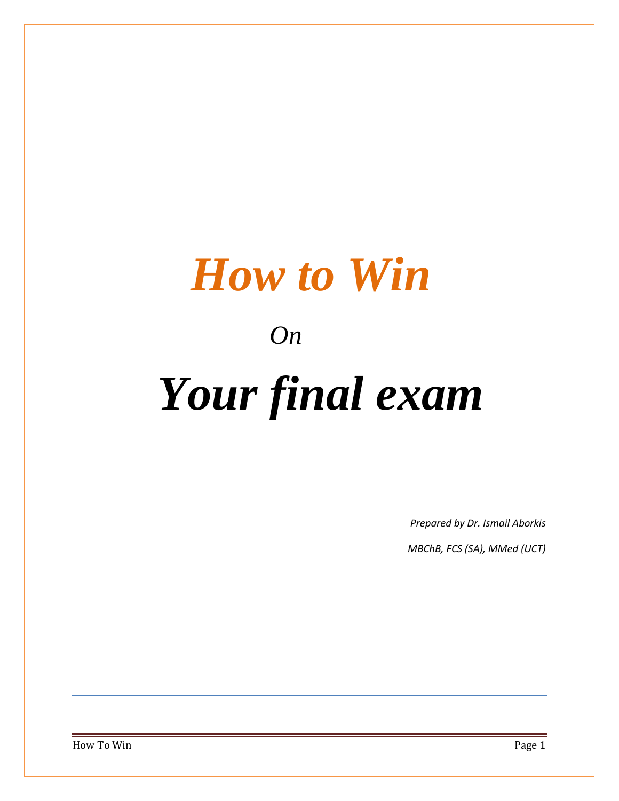# *How to Win*

# *On*

# *Your final exam*

*Prepared by Dr. Ismail Aborkis*

*MBChB, FCS (SA), MMed (UCT)*

How To Win Page 1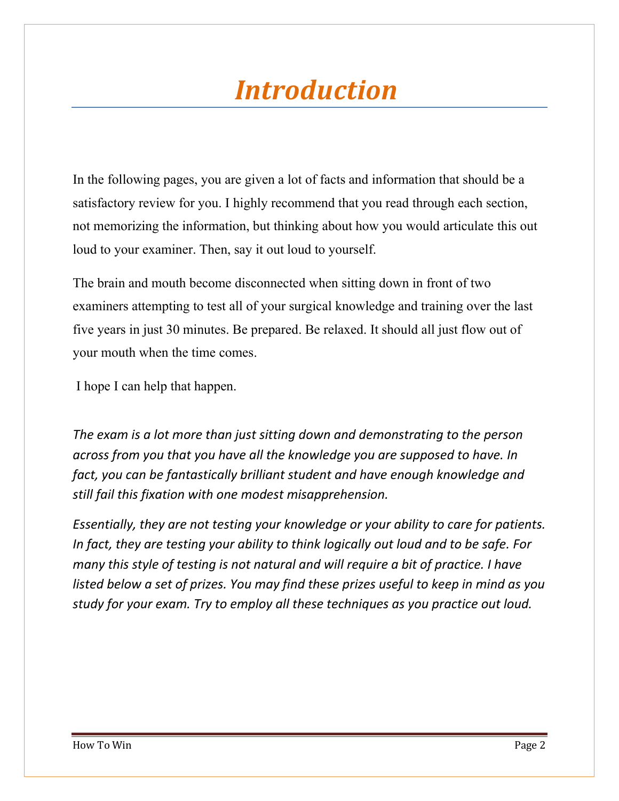# *Introduction*

In the following pages, you are given a lot of facts and information that should be a satisfactory review for you. I highly recommend that you read through each section, not memorizing the information, but thinking about how you would articulate this out loud to your examiner. Then, say it out loud to yourself.

The brain and mouth become disconnected when sitting down in front of two examiners attempting to test all of your surgical knowledge and training over the last five years in just 30 minutes. Be prepared. Be relaxed. It should all just flow out of your mouth when the time comes.

I hope I can help that happen.

*The exam is a lot more than just sitting down and demonstrating to the person across from you that you have all the knowledge you are supposed to have. In fact, you can be fantastically brilliant student and have enough knowledge and still fail this fixation with one modest misapprehension.* 

*Essentially, they are not testing your knowledge or your ability to care for patients. In fact, they are testing your ability to think logically out loud and to be safe. For many this style of testing is not natural and will require a bit of practice. I have listed below a set of prizes. You may find these prizes useful to keep in mind as you study for your exam. Try to employ all these techniques as you practice out loud.*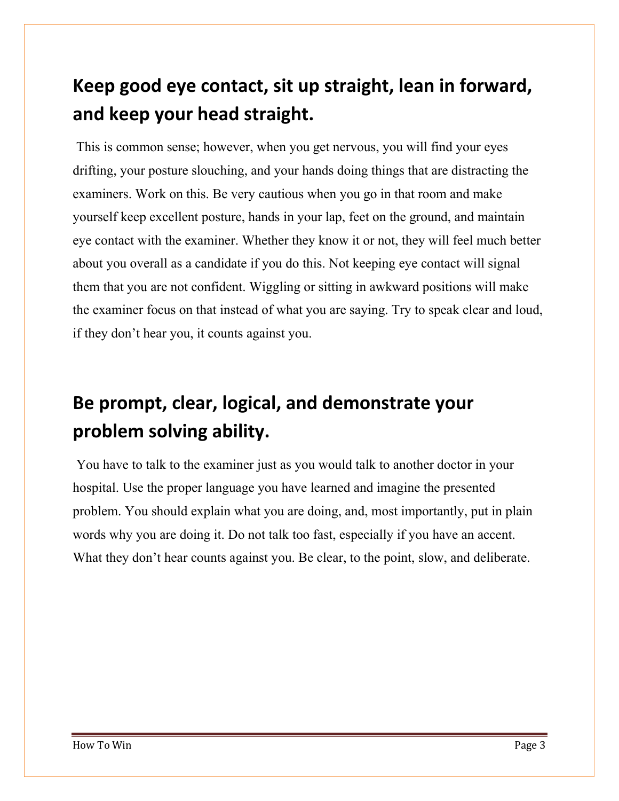# **Keep good eye contact, sit up straight, lean in forward, and keep your head straight.**

 This is common sense; however, when you get nervous, you will find your eyes drifting, your posture slouching, and your hands doing things that are distracting the examiners. Work on this. Be very cautious when you go in that room and make yourself keep excellent posture, hands in your lap, feet on the ground, and maintain eye contact with the examiner. Whether they know it or not, they will feel much better about you overall as a candidate if you do this. Not keeping eye contact will signal them that you are not confident. Wiggling or sitting in awkward positions will make the examiner focus on that instead of what you are saying. Try to speak clear and loud, if they don't hear you, it counts against you.

# **Be prompt, clear, logical, and demonstrate your problem solving ability.**

 You have to talk to the examiner just as you would talk to another doctor in your hospital. Use the proper language you have learned and imagine the presented problem. You should explain what you are doing, and, most importantly, put in plain words why you are doing it. Do not talk too fast, especially if you have an accent. What they don't hear counts against you. Be clear, to the point, slow, and deliberate.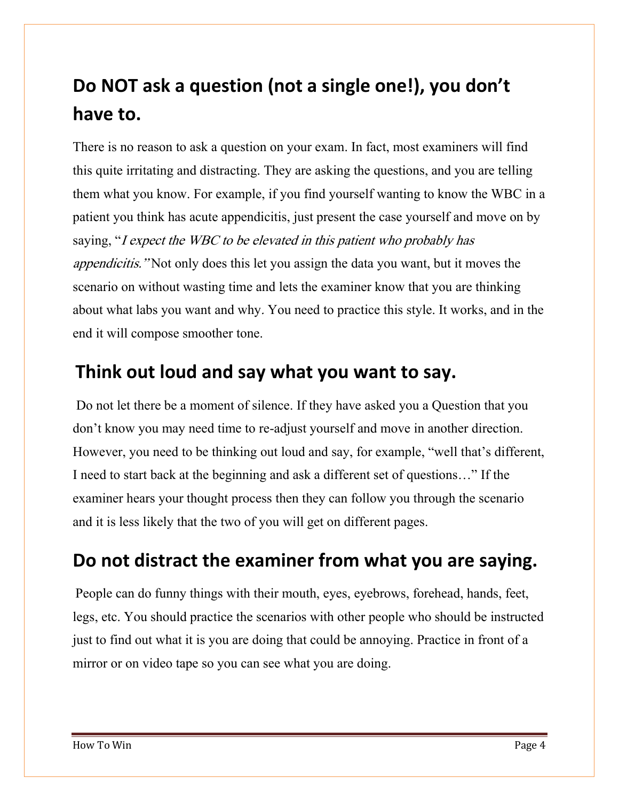# **Do NOT ask a question (not a single one!), you don't have to.**

There is no reason to ask a question on your exam. In fact, most examiners will find this quite irritating and distracting. They are asking the questions, and you are telling them what you know. For example, if you find yourself wanting to know the WBC in a patient you think has acute appendicitis, just present the case yourself and move on by saying, "I expect the WBC to be elevated in this patient who probably has appendicitis." Not only does this let you assign the data you want, but it moves the scenario on without wasting time and lets the examiner know that you are thinking about what labs you want and why. You need to practice this style. It works, and in the end it will compose smoother tone.

#### **Think out loud and say what you want to say.**

Do not let there be a moment of silence. If they have asked you a Question that you don't know you may need time to re-adjust yourself and move in another direction. However, you need to be thinking out loud and say, for example, "well that's different, Ineed to start back at the beginning and ask a different set of questions…" If the examiner hears your thought process then they can follow you through the scenario and it is less likely that the two of you will get on different pages.

#### **Do not distract the examiner from what you are saying.**

People can do funny things with their mouth, eyes, eyebrows, forehead, hands, feet, legs, etc. You should practice the scenarios with other people who should be instructed just to find out what it is you are doing that could be annoying. Practice in front of a mirror or on video tape so you can see what you are doing.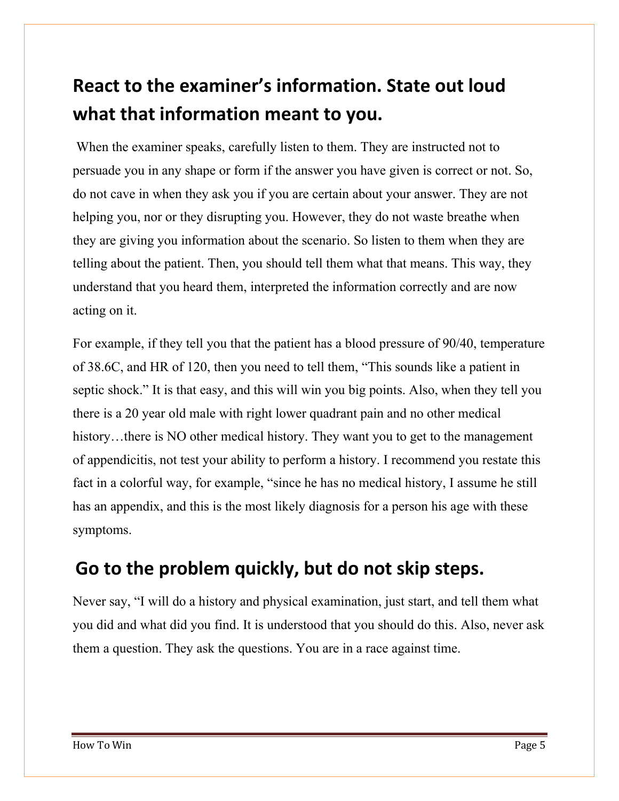# **React to the examiner's information. State out loud what that information meant to you.**

 When the examiner speaks, carefully listen to them. They are instructed not to persuade you in any shape or form if the answer you have given is correct or not. So, do not cave in when they ask you if you are certain about your answer. They are not helping you, nor or they disrupting you. However, they do not waste breathe when they are giving you information about the scenario. So listen to them when they are telling about the patient. Then, you should tell them what that means. This way, they understand that you heard them, interpreted the information correctly and are now acting on it.

For example, if they tell you that the patient has a blood pressure of 90/40, temperature of 38.6C, and HR of 120, then you need to tell them, "This sounds like a patient in septic shock." It is that easy, and this will win you big points. Also, when they tell you there is a 20 year old male with right lower quadrant pain and no other medical history...there is NO other medical history. They want you to get to the management of appendicitis, not test your ability to perform a history. I recommend you restate this fact in a colorful way, for example, "since he has no medical history, I assume he still has an appendix, and this is the most likely diagnosis for a person his age with these symptoms.

#### **Go to the problem quickly, but do not skip steps.**

Never say, "I will do a history and physical examination, just start, and tell them what you did and what did you find. It is understood that you should do this. Also, never ask them a question. They ask the questions. You are in a race against time.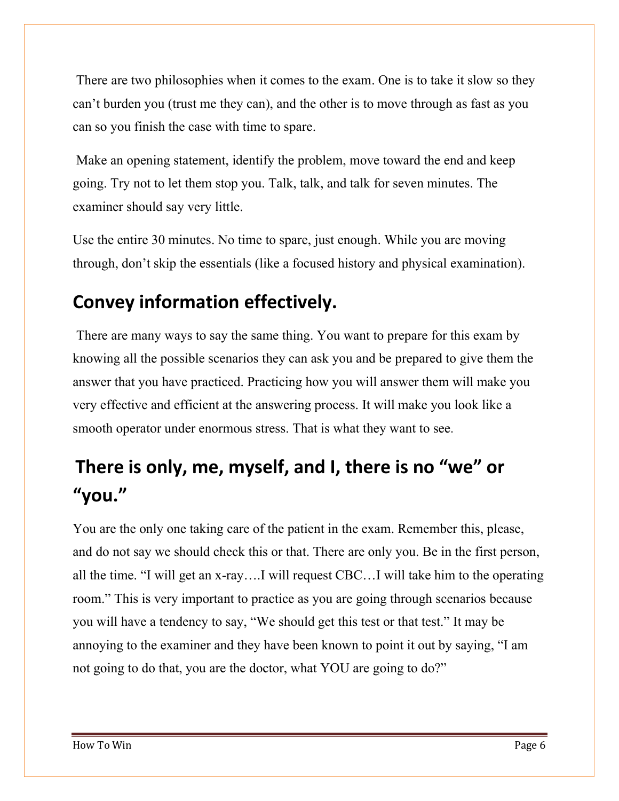There are two philosophies when it comes to the exam. One is to take it slow so they can't burden you (trust me they can), and the other is to move through as fast as you can so you finish the case with time to spare.

Make an opening statement, identify the problem, move toward the end and keep going. Try not to let them stop you. Talk, talk, and talk for seven minutes. The examiner should say very little.

Use the entire 30 minutes. No time to spare, just enough. While you are moving through, don't skip the essentials (like a focused history and physical examination).

### **Convey information effectively.**

 There are many ways to say the same thing. You want to prepare for this exam by knowing all the possible scenarios they can ask you and be prepared to give them the answer that you have practiced. Practicing how you will answer them will make you very effective and efficient at the answering process. It will make you look like a smooth operator under enormous stress. That is what they want to see.

# **There is only, me, myself, and I, there is no "we" or "you."**

You are the only one taking care of the patient in the exam. Remember this, please, and do not say we should check this or that. There are only you. Be in the first person, all the time. "I will get an x-ray….I will request CBC…I will take him to the operating room." This is very important to practice as you are going through scenarios because you will have a tendency to say, "We should get this test or that test." It may be annoying to the examiner and they have been known to point it out by saying, "I am not going to do that, you are the doctor, what YOU are going to do?"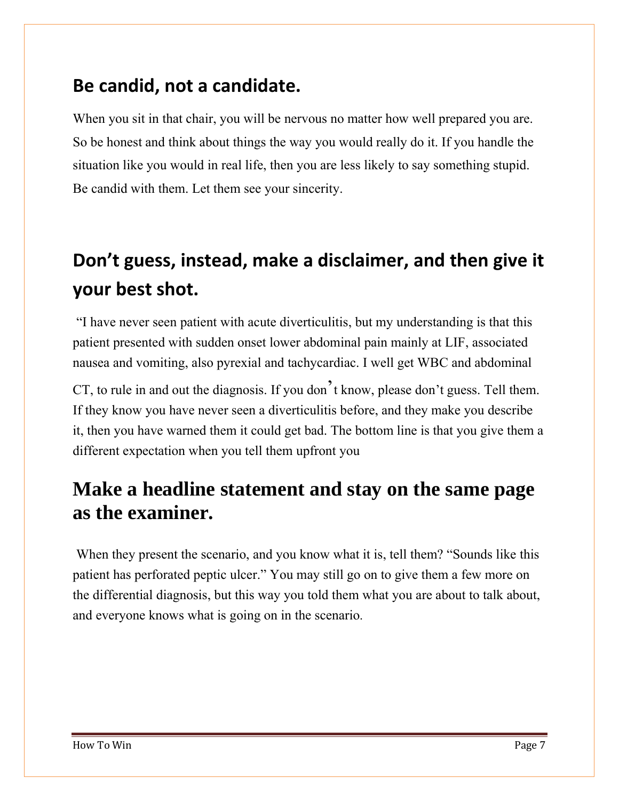#### **Be candid, not a candidate.**

When you sit in that chair, you will be nervous no matter how well prepared you are. So be honest and think about things the way you would really do it. If you handle the situation like you would in real life, then you are less likely to say something stupid. Be candid with them. Let them see your sincerity.

# **Don't guess, instead, make a disclaimer, and then give it your best shot.**

"I have never seen patient with acute diverticulitis, but my understanding is that this patient presented with sudden onset lower abdominal pain mainly at LIF, associated nausea and vomiting, also pyrexial and tachycardiac. I well get WBC and abdominal

CT, to rule in and out the diagnosis. If you don't know, please don't guess. Tell them. If they know you have never seen a diverticulitis before, and they make you describe it, then you have warned them it could get bad. The bottom line is that you give them a different expectation when you tell them upfront you

#### **Make a headline statement and stay on the same page as the examiner.**

 When they present the scenario, and you know what it is, tell them? "Sounds like this patient has perforated peptic ulcer." You may still go on to give them a few more on the differential diagnosis, but this way you told them what you are about to talk about, and everyone knows what is going on in the scenario.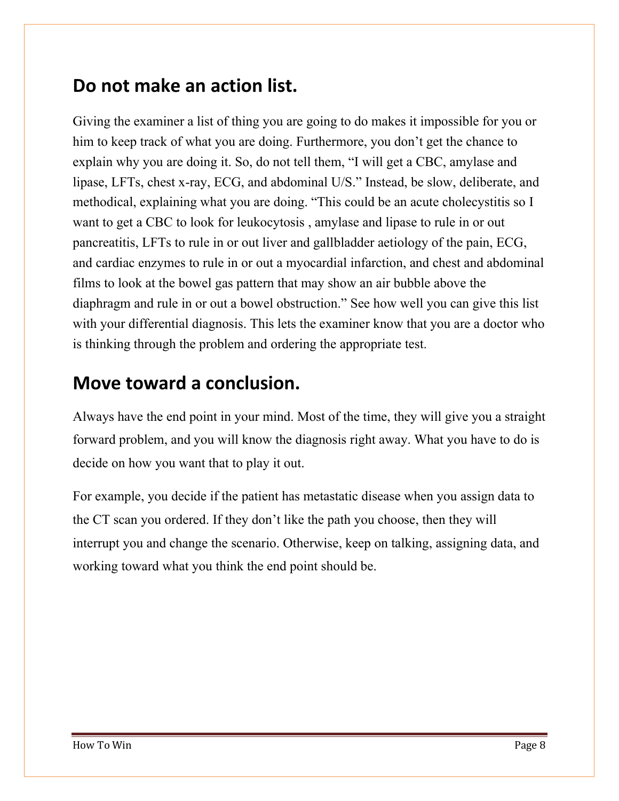#### **Do not make an action list.**

Giving the examiner a list of thing you are going to do makes it impossible for you or him to keep track of what you are doing. Furthermore, you don't get the chance to explain why you are doing it. So, do not tell them, "I will get a CBC, amylase and lipase, LFTs, chest x-ray, ECG, and abdominal U/S." Instead, be slow, deliberate, and methodical, explaining what you are doing. "This could be an acute cholecystitis so I want to get a CBC to look for leukocytosis , amylase and lipase to rule in or out pancreatitis, LFTs to rule in or out liver and gallbladder aetiologyof the pain, ECG, and cardiac enzymes to rule in or out a myocardial infarction, and chest and abdominal films to look at the bowel gas pattern that may show an air bubble above the diaphragm and rule in or out a bowel obstruction." See how well you can give this list with your differential diagnosis. This lets the examiner know that you are a doctor who is thinking through the problem and ordering the appropriate test.

#### **Move toward a conclusion.**

Always have the end point in your mind. Most of the time, they will give you a straight forward problem, and you will know the diagnosis right away. What you have to do is decide on how you want that to play it out.

For example, you decide if the patient has metastatic disease when you assigndata to the CT scan you ordered. If they don't like the path you choose, then they will interrupt you and change the scenario. Otherwise, keep on talking, assigning data, and working toward what you think the end point should be.